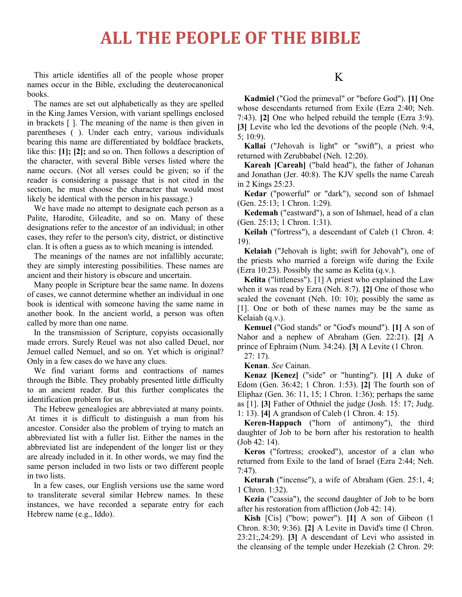## **ALL THE PEOPLE OF THE BIBLE**

This article identifies all of the people whose proper names occur in the Bible, excluding the deuterocanonical books.

The names are set out alphabetically as they are spelled in the King James Version, with variant spellings enclosed in brackets [ ]. The meaning of the name is then given in parentheses ( ). Under each entry, various individuals bearing this name are differentiated by boldface brackets, like this: **[1]; [2];** and so on. Then follows a description of the character, with several Bible verses listed where the name occurs. (Not all verses could be given; so if the reader is considering a passage that is not cited in the section, he must choose the character that would most likely be identical with the person in his passage.)

We have made no attempt to designate each person as a Palite, Harodite, Gileadite, and so on. Many of these designations refer to the ancestor of an individual; in other cases, they refer to the person's city, district, or distinctive clan. It is often a guess as to which meaning is intended.

The meanings of the names are not infallibly accurate; they are simply interesting possibilities. These names are ancient and their history is obscure and uncertain.

Many people in Scripture bear the same name. In dozens of cases, we cannot determine whether an individual in one book is identical with someone having the same name in another book. In the ancient world, a person was often called by more than one name.

In the transmission of Scripture, copyists occasionally made errors. Surely Reuel was not also called Deuel, nor Jemuel called Nemuel, and so on. Yet which is original? Only in a few cases do we have any clues.

We find variant forms and contractions of names through the Bible. They probably presented little difficulty to an ancient reader. But this further complicates the identification problem for us.

The Hebrew genealogies are abbreviated at many points. At times it is difficult to distinguish a man from his ancestor. Consider also the problem of trying to match an abbreviated list with a fuller list. Either the names in the abbreviated list are independent of the longer list or they are already included in it. In other words, we may find the same person included in two lists or two different people in two lists.

In a few cases, our English versions use the same word to transliterate several similar Hebrew names. In these instances, we have recorded a separate entry for each Hebrew name (e.g., Iddo).

## K

**Kadmiel** ("God the primeval" or "before God"). **[1]** One whose descendants returned from Exile (Ezra 2:40; Neh. 7:43). **[2]** One who helped rebuild the temple (Ezra 3:9). **[3]** Levite who led the devotions of the people (Neh. 9:4, 5; 10:9).

**Kallai** ("Jehovah is light" or "swift"), a priest who returned with Zerubbabel (Neh. 12:20).

**Kareah [Careah]** ("bald head"), the father of Johanan and Jonathan (Jer. 40:8). The KJV spells the name Careah in 2 Kings 25:23.

**Kedar** ("powerful" or "dark"), second son of Ishmael (Gen. 25:13; 1 Chron. 1:29).

**Kedemah** ("eastward"), a son of Ishmael, head of a clan (Gen. 25:13; 1 Chron. 1:31).

**Keilah** ("fortress"), a descendant of Caleb (1 Chron. 4: 19).

**Kelaiah** ("Jehovah is light; swift for Jehovah"), one of the priests who married a foreign wife during the Exile (Ezra 10:23). Possibly the same as Kelita (q.v.).

**Kelita** ("littleness"). [1] A priest who explained the Law when it was read by Ezra (Neh. 8:7). **[2]** One of those who sealed the covenant (Neh. 10: 10); possibly the same as [1]. One or both of these names may be the same as Kelaiah (q.v.).

**Kemuel** ("God stands" or "God's mound"). **[1]** A son of Nahor and a nephew of Abraham (Gen. 22:21). **[2]** A prince of Ephraim (Num. 34:24). **[3]** A Levite (1 Chron.

27: 17).

**Kenan**. *See* Cainan.

**Kenaz [Kenez]** ("side" or "hunting"). **[1]** A duke of Edom (Gen. 36:42; 1 Chron. 1:53). **[2]** The fourth son of Eliphaz (Gen. 36: 11, 15; 1 Chron. 1:36); perhaps the same as [1]. **[3]** Father of Othniel the judge (Josh. 15: 17; Judg. 1: 13). **[4]** A grandson of Caleb (1 Chron. 4: 15).

**Keren-Happuch** ("horn of antimony"), the third daughter of Job to be born after his restoration to health (Job 42: 14).

**Keros** ("fortress; crooked"), ancestor of a clan who returned from Exile to the land of Israel (Ezra 2:44; Neh. 7:47).

**Keturah** ("incense"), a wife of Abraham (Gen. 25:1, 4; 1 Chron. 1:32).

**Kezia** ("cassia"), the second daughter of Job to be born after his restoration from affliction (Job 42: 14).

**Kish** [Cis] ("bow; power"). **[1]** A son of Gibeon (1 Chron. 8:30; 9:36). **[2]** A Levite in David's time (l Chron. 23:21;,24:29). **[3]** A descendant of Levi who assisted in the cleansing of the temple under Hezekiah (2 Chron. 29: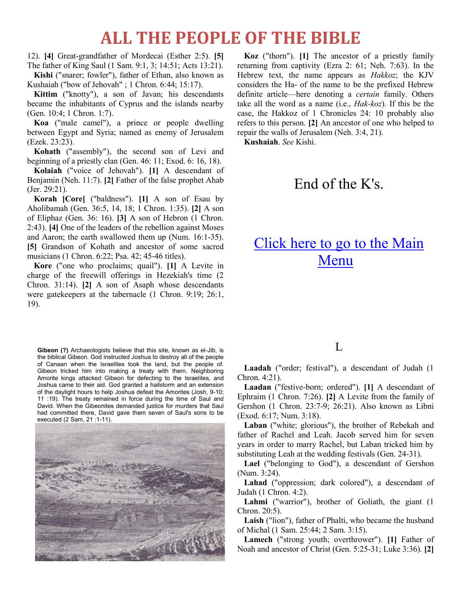## ALL THE PEOPLE OF THE B

12)[4]Gre-gatandfather of Mordeca[5](EsKtohza("th2o5)]]The ancesstorproidefstalmyily The father of KBnagmSa9ul1, (13; 14:51; Alets rni Bng 11) rom captivity (Ezra 2: 61; Kish(i"snarer; fowler"), fatahlosor kan dEuthhiadon sew text, the namhela kakpop zehaers Kalso Kushaiah ("bow of  $\mathbb G$  hethoon. a  $\mathbf{\hat a}$ :"4;4; 15:17) ansiderts a bifethe name to be the pref Kittim("knotty"), a son of Javan; dheifsinidteescaehnteid**cale d**seenotienrgta fanam il $\circledA$ thers became the inhabitaannt**s o**f fie Ciyspleunsd stankeeanably the word a sHaa-kkop)**a** mlof (fini**s** be  $(Gen. 10:4; 1: \mathbb{C})$ hron. Koa("male camel"), a prince or meetepsletod twhei [s2i]angranous tor of one who betwneeEgypt and Syria; named as eneepinaythoef wlaelrlussafeJner3u:s4ale2nh)(Neh. (Ezek. 23:23). Kohath("assembly"), the second son of Levi and beginning of a priestfly tlan  $k$ Gen. 6: 16, 18). Kolaia ("Nvoice of Jehol Nah d") acendant of Benjamin (Neh2Fathe false prophet Ahab (Jer. 29:21). Korah [Cortbaldness]"A).son of Esau by Aholibamah (Gen. 316C5h,ro1n4., [12:88;5s).on of Eliphaz 36G en. 30A son of Hebron (1 Chron.  $2:43$ ADne of the leaders of the  $\texttt{s}$  ebellion against Mo and Aaron; the earth supora(Nowme.d35t6)n:e1m and Aaron; the earth superindume.distighted men Collsion of College Collection and ancestor Collsion of Collection Collection and ancestor Collsion of Collection and ancestor Collsion of Collection and ancestor Collsion an musicians (1 Chron.  $64B2$ t; *I*FPesa). 42; 45 Kore("one who proclaim[15] A queavil t'è in charge of the freewill offerings in Hezekiah's time (2 Chron. 31214) son of Asaph whose descendants were gatekætepheestabernacle (1 Chron. 9:19; 26:1, 19). case, the Hakkoz of 1 Chronicles 24 Kushai**&bk**ishi.  $E$  n df ot hKe s. Menu

Gibeon Atthaeologists believe that this is it es known as el the biblical Gibeon. God instructed Joshua to destroy all of the people of Canaan when the Israelites took the land, but the people of. of Canaan when the islaelities took the land,  $L_{\text{H}}^{\text{U}}$  of  $H_{\text{eff}}^{\text{H}}$  or  $H_{\text{eff}}^{\text{U}}$  or  $f$  estival"), a descendant of  $\epsilon$ A morite kings attacked Gibeon for detfeese, ti**agd to hifhOen**lsr<sup>4</sup>ae i Joshua came to their aid. God granted a hailstograp and an ecosing was ph of the daylight hours to help Joshua defead; the  $\lambda$ morites (Josh, 9 11 :19). The treaty remained in force during  $F_{\rm H}$  $F_{\rm e}$  $F_{\rm H}$  $F_{\rm H}$  $F_{\rm H}$  $F_{\rm H}$  $F_{\rm H}$  $F_{\rm H}$  $F_{\rm H}$  $F_{\rm H}$  $F_{\rm H}$  $F_{\rm H}$  $F_{\rm H}$  $F_{\rm H}$  $F_{\rm H}$  $F_{\rm H}$  $F_{\rm H}$  $F_{\rm H}$  $F_{\rm H}$  $F_{\rm H}$  $F_{\rm H}$  $F_{\rm H}$ David. When the Gibeonites diecommanded dejusticae  $\mathbb{G}% _{n}$  euri L d©oh **r**hOen i.s r**4**i è 12 1 ). ପ୍ୟୁକ୍ ନୃଣ୍ଡୁ(ମା,େକ୍ତୁ-t୍ୱାହେ<del>)</del>ାନ, orde[fle]Ad"o]escendant

David. When the Gibeonites dfecmramdedde justicaed Genulshon (1 Ch-90 pm2622317. Also known<br>had committed there, David gave them seven of Saul's pong to be 2 . 1 . executed  $(2$  Sa- $n$ 1, 21 :1  $($   $(E \times 66$   $).9 \times 9 \times 10^{10}$   $($   $\cdot$   $m^{0.6}$   $3:18)$  .  $L$ aba $(n'$  white; glorious"), Rheebebkrabh han father of Rachel and Leah. Jacob se

years in order to marry an Racincokle, db but ml substituting Leah at the wede3ing festi Lae ("belonging to God"), a descend (Num. 3:24).

 $Laha$ <sup>"</sup> oppression; dark colored"), a Judah (1 Chron. 4:2).

Lahm("warrior"), brother ofgiaGnotliath Chron. 20:5).

Lais(H'lion"), of **Phalti**, who became the of Michal (1 Sam. 25:44; 2 Sam. 3:15). Lamed fistrong youth; overthrower"). Noah and ancestor of G3Hristuk 6 4323:36).